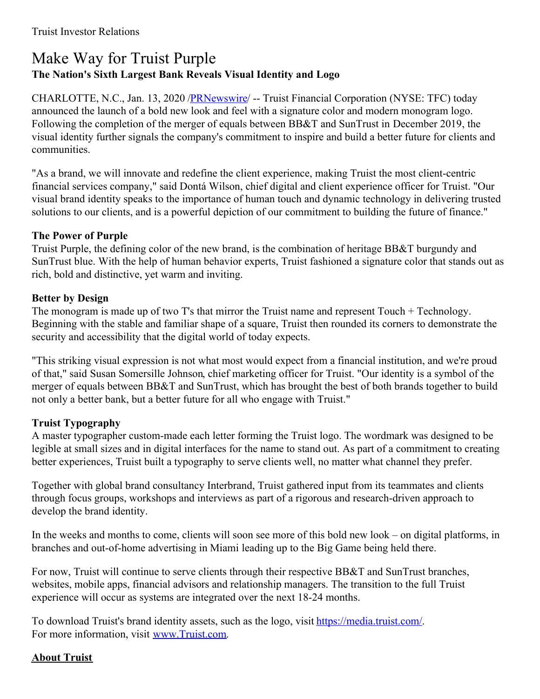# Make Way for Truist Purple **The Nation's Sixth Largest Bank Reveals Visual Identity and Logo**

CHARLOTTE, N.C., Jan. 13, 2020 [/PRNewswire](http://www.prnewswire.com/)/ -- Truist Financial Corporation (NYSE: TFC) today announced the launch of a bold new look and feel with a signature color and modern monogram logo. Following the completion of the merger of equals between BB&T and SunTrust in December 2019, the visual identity further signals the company's commitment to inspire and build a better future for clients and communities.

"As a brand, we will innovate and redefine the client experience, making Truist the most client-centric financial services company," said Dontá Wilson, chief digital and client experience officer for Truist. "Our visual brand identity speaks to the importance of human touch and dynamic technology in delivering trusted solutions to our clients, and is a powerful depiction of our commitment to building the future of finance."

#### **The Power of Purple**

Truist Purple, the defining color of the new brand, is the combination of heritage BB&T burgundy and SunTrust blue. With the help of human behavior experts, Truist fashioned a signature color that stands out as rich, bold and distinctive, yet warm and inviting.

## **Better by Design**

The monogram is made up of two T's that mirror the Truist name and represent Touch + Technology. Beginning with the stable and familiar shape of a square, Truist then rounded its corners to demonstrate the security and accessibility that the digital world of today expects.

"This striking visual expression is not what most would expect from a financial institution, and we're proud of that," said Susan Somersille Johnson, chief marketing officer for Truist. "Our identity is a symbol of the merger of equals between BB&T and SunTrust, which has brought the best of both brands together to build not only a better bank, but a better future for all who engage with Truist."

## **Truist Typography**

A master typographer custom-made each letter forming the Truist logo. The wordmark was designed to be legible at small sizes and in digital interfaces for the name to stand out. As part of a commitment to creating better experiences, Truist built a typography to serve clients well, no matter what channel they prefer.

Together with global brand consultancy Interbrand, Truist gathered input from its teammates and clients through focus groups, workshops and interviews as part of a rigorous and research-driven approach to develop the brand identity.

In the weeks and months to come, clients will soon see more of this bold new look – on digital platforms, in branches and out-of-home advertising in Miami leading up to the Big Game being held there.

For now, Truist will continue to serve clients through their respective BB&T and SunTrust branches, websites, mobile apps, financial advisors and relationship managers. The transition to the full Truist experience will occur as systems are integrated over the next 18-24 months.

To download Truist's brand identity assets, such as the logo, visit [https://media.truist.com/](https://c212.net/c/link/?t=0&l=en&o=2689979-1&h=1423517266&u=https%3A%2F%2Fmedia.truist.com%2F&a=https%3A%2F%2Fmedia.truist.com%2F). For more information, visit [www.Truist.com](https://c212.net/c/link/?t=0&l=en&o=2689979-1&h=2154279006&u=http%3A%2F%2Fwww.truist.com%2F&a=www.Truist.com).

#### **About Truist**